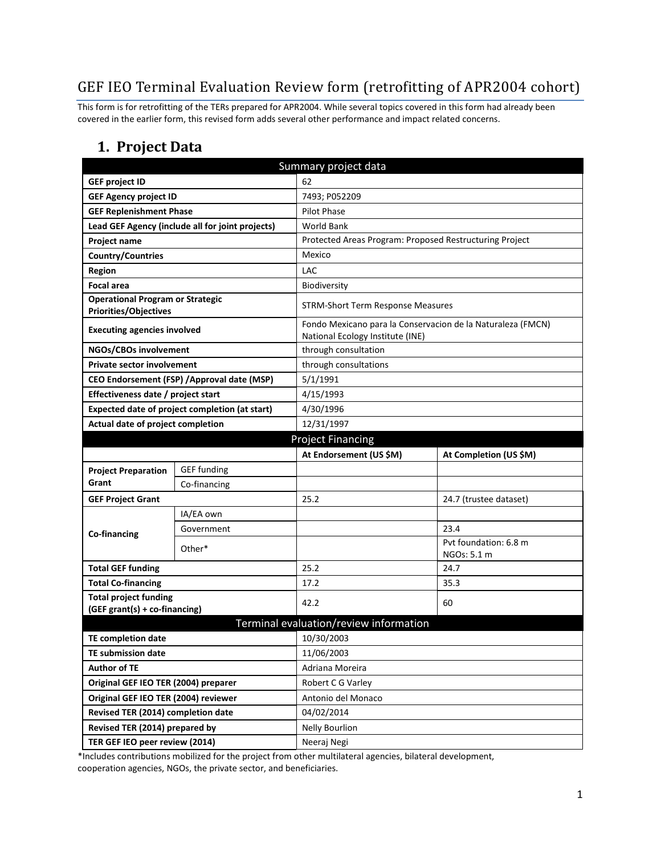# GEF IEO Terminal Evaluation Review form (retrofitting of APR2004 cohort)

This form is for retrofitting of the TERs prepared for APR2004. While several topics covered in this form had already been covered in the earlier form, this revised form adds several other performance and impact related concerns.

#### **1. Project Data**

|                                                                         |                                                  | Summary project data                                    |                                                                                                 |  |  |
|-------------------------------------------------------------------------|--------------------------------------------------|---------------------------------------------------------|-------------------------------------------------------------------------------------------------|--|--|
| <b>GEF project ID</b>                                                   |                                                  | 62                                                      |                                                                                                 |  |  |
| <b>GEF Agency project ID</b>                                            |                                                  | 7493; P052209                                           |                                                                                                 |  |  |
| <b>GEF Replenishment Phase</b>                                          |                                                  | Pilot Phase                                             |                                                                                                 |  |  |
|                                                                         | Lead GEF Agency (include all for joint projects) | <b>World Bank</b>                                       |                                                                                                 |  |  |
| Project name                                                            |                                                  | Protected Areas Program: Proposed Restructuring Project |                                                                                                 |  |  |
| <b>Country/Countries</b>                                                |                                                  | Mexico                                                  |                                                                                                 |  |  |
| <b>Region</b>                                                           |                                                  | <b>LAC</b>                                              |                                                                                                 |  |  |
| <b>Focal area</b>                                                       |                                                  | Biodiversity                                            |                                                                                                 |  |  |
| <b>Operational Program or Strategic</b><br><b>Priorities/Objectives</b> |                                                  | <b>STRM-Short Term Response Measures</b>                |                                                                                                 |  |  |
| <b>Executing agencies involved</b>                                      |                                                  |                                                         | Fondo Mexicano para la Conservacion de la Naturaleza (FMCN)<br>National Ecology Institute (INE) |  |  |
| NGOs/CBOs involvement                                                   |                                                  | through consultation                                    |                                                                                                 |  |  |
| <b>Private sector involvement</b>                                       |                                                  | through consultations                                   |                                                                                                 |  |  |
| CEO Endorsement (FSP) / Approval date (MSP)                             |                                                  | 5/1/1991                                                |                                                                                                 |  |  |
| Effectiveness date / project start                                      |                                                  | 4/15/1993                                               |                                                                                                 |  |  |
| Expected date of project completion (at start)                          |                                                  | 4/30/1996                                               |                                                                                                 |  |  |
| Actual date of project completion                                       |                                                  | 12/31/1997                                              |                                                                                                 |  |  |
| <b>Project Financing</b>                                                |                                                  |                                                         |                                                                                                 |  |  |
|                                                                         |                                                  | At Endorsement (US \$M)                                 | At Completion (US \$M)                                                                          |  |  |
| <b>Project Preparation</b>                                              | <b>GEF</b> funding                               |                                                         |                                                                                                 |  |  |
| Grant                                                                   | Co-financing                                     |                                                         |                                                                                                 |  |  |
| <b>GEF Project Grant</b>                                                |                                                  | 25.2                                                    | 24.7 (trustee dataset)                                                                          |  |  |
|                                                                         | IA/EA own                                        |                                                         |                                                                                                 |  |  |
| Co-financing                                                            | Government                                       |                                                         | 23.4                                                                                            |  |  |
|                                                                         | Other*                                           |                                                         | Pyt foundation: 6.8 m                                                                           |  |  |
|                                                                         |                                                  |                                                         | NGOs: 5.1 m                                                                                     |  |  |
| <b>Total GEF funding</b>                                                |                                                  | 25.2                                                    | 24.7                                                                                            |  |  |
| <b>Total Co-financing</b><br><b>Total project funding</b>               |                                                  | 17.2                                                    | 35.3                                                                                            |  |  |
| (GEF grant(s) + co-financing)                                           |                                                  | 42.2                                                    | 60                                                                                              |  |  |
|                                                                         |                                                  | Terminal evaluation/review information                  |                                                                                                 |  |  |
| <b>TE completion date</b>                                               |                                                  | 10/30/2003                                              |                                                                                                 |  |  |
| <b>TE submission date</b>                                               |                                                  | 11/06/2003                                              |                                                                                                 |  |  |
| <b>Author of TE</b>                                                     |                                                  | Adriana Moreira                                         |                                                                                                 |  |  |
| Original GEF IEO TER (2004) preparer                                    |                                                  | Robert C G Varley                                       |                                                                                                 |  |  |
| Original GEF IEO TER (2004) reviewer                                    |                                                  | Antonio del Monaco                                      |                                                                                                 |  |  |
| Revised TER (2014) completion date                                      |                                                  | 04/02/2014                                              |                                                                                                 |  |  |
| Revised TER (2014) prepared by                                          |                                                  | <b>Nelly Bourlion</b>                                   |                                                                                                 |  |  |
| TER GEF IEO peer review (2014)                                          |                                                  | Neeraj Negi                                             |                                                                                                 |  |  |

\*Includes contributions mobilized for the project from other multilateral agencies, bilateral development, cooperation agencies, NGOs, the private sector, and beneficiaries.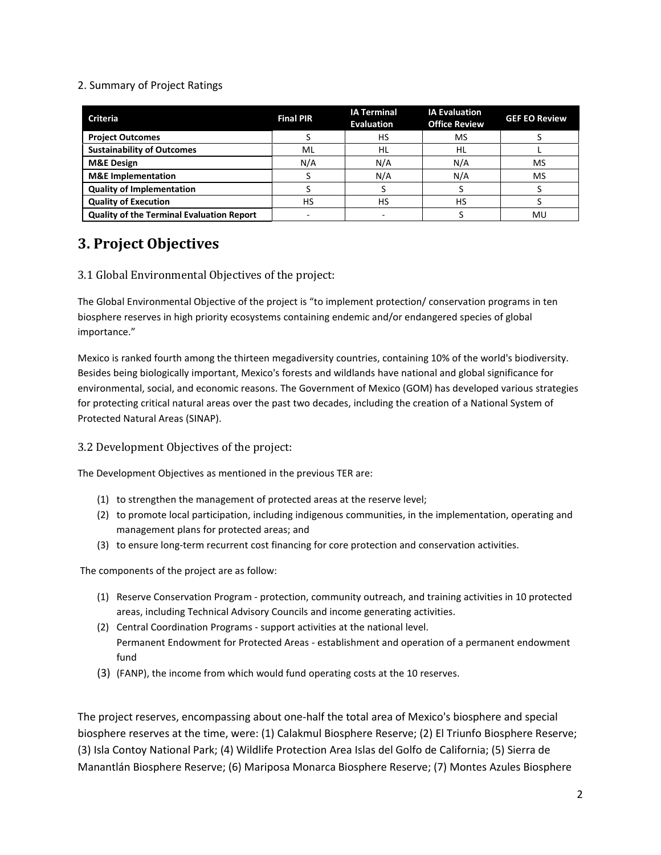#### 2. Summary of Project Ratings

| <b>Criteria</b>                                  | <b>Final PIR</b> | <b>IA Terminal</b><br><b>Evaluation</b> | <b>IA Evaluation</b><br><b>Office Review</b> | <b>GEF EO Review</b> |
|--------------------------------------------------|------------------|-----------------------------------------|----------------------------------------------|----------------------|
| <b>Project Outcomes</b>                          |                  | НS                                      | MS                                           |                      |
| <b>Sustainability of Outcomes</b>                | ML               | HL                                      | HL                                           |                      |
| <b>M&amp;E Design</b>                            | N/A              | N/A                                     | N/A                                          | <b>MS</b>            |
| <b>M&amp;E</b> Implementation                    |                  | N/A                                     | N/A                                          | MS                   |
| <b>Quality of Implementation</b>                 |                  |                                         |                                              |                      |
| <b>Quality of Execution</b>                      | HS               | НS                                      | HS                                           |                      |
| <b>Quality of the Terminal Evaluation Report</b> |                  |                                         |                                              | MU                   |

# **3. Project Objectives**

#### 3.1 Global Environmental Objectives of the project:

The Global Environmental Objective of the project is "to implement protection/ conservation programs in ten biosphere reserves in high priority ecosystems containing endemic and/or endangered species of global importance."

Mexico is ranked fourth among the thirteen megadiversity countries, containing 10% of the world's biodiversity. Besides being biologically important, Mexico's forests and wildlands have national and global significance for environmental, social, and economic reasons. The Government of Mexico (GOM) has developed various strategies for protecting critical natural areas over the past two decades, including the creation of a National System of Protected Natural Areas (SINAP).

#### 3.2 Development Objectives of the project:

The Development Objectives as mentioned in the previous TER are:

- (1) to strengthen the management of protected areas at the reserve level;
- (2) to promote local participation, including indigenous communities, in the implementation, operating and management plans for protected areas; and
- (3) to ensure long-term recurrent cost financing for core protection and conservation activities.

The components of the project are as follow:

- (1) Reserve Conservation Program protection, community outreach, and training activities in 10 protected areas, including Technical Advisory Councils and income generating activities.
- (2) Central Coordination Programs support activities at the national level. Permanent Endowment for Protected Areas - establishment and operation of a permanent endowment fund
- (3) (FANP), the income from which would fund operating costs at the 10 reserves.

The project reserves, encompassing about one-half the total area of Mexico's biosphere and special biosphere reserves at the time, were: (1) Calakmul Biosphere Reserve; (2) El Triunfo Biosphere Reserve; (3) Isla Contoy National Park; (4) Wildlife Protection Area Islas del Golfo de California; (5) Sierra de Manantlán Biosphere Reserve; (6) Mariposa Monarca Biosphere Reserve; (7) Montes Azules Biosphere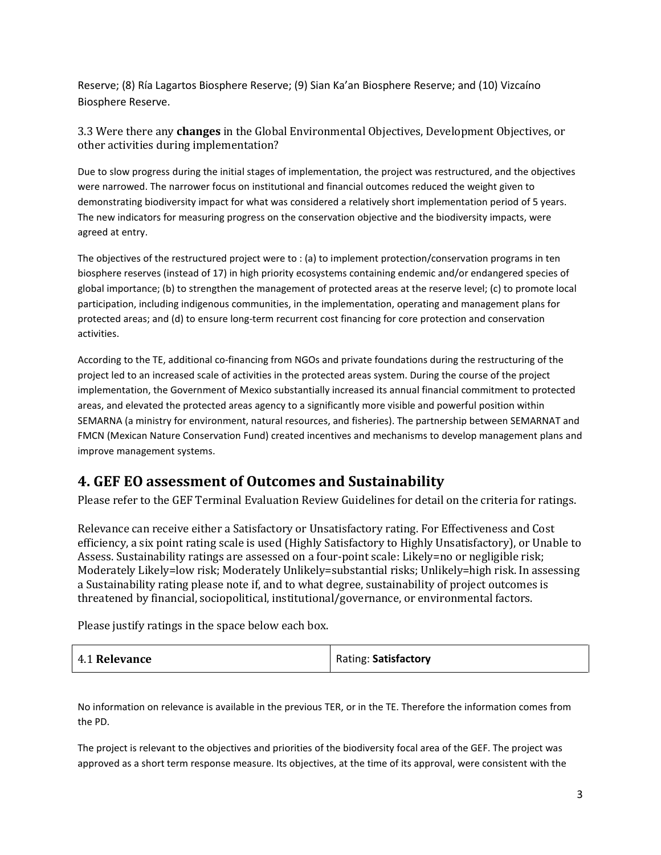Reserve; (8) Ría Lagartos Biosphere Reserve; (9) Sian Ka'an Biosphere Reserve; and (10) Vizcaíno Biosphere Reserve.

3.3 Were there any **changes** in the Global Environmental Objectives, Development Objectives, or other activities during implementation?

Due to slow progress during the initial stages of implementation, the project was restructured, and the objectives were narrowed. The narrower focus on institutional and financial outcomes reduced the weight given to demonstrating biodiversity impact for what was considered a relatively short implementation period of 5 years. The new indicators for measuring progress on the conservation objective and the biodiversity impacts, were agreed at entry.

The objectives of the restructured project were to : (a) to implement protection/conservation programs in ten biosphere reserves (instead of 17) in high priority ecosystems containing endemic and/or endangered species of global importance; (b) to strengthen the management of protected areas at the reserve level; (c) to promote local participation, including indigenous communities, in the implementation, operating and management plans for protected areas; and (d) to ensure long-term recurrent cost financing for core protection and conservation activities.

According to the TE, additional co-financing from NGOs and private foundations during the restructuring of the project led to an increased scale of activities in the protected areas system. During the course of the project implementation, the Government of Mexico substantially increased its annual financial commitment to protected areas, and elevated the protected areas agency to a significantly more visible and powerful position within SEMARNA (a ministry for environment, natural resources, and fisheries). The partnership between SEMARNAT and FMCN (Mexican Nature Conservation Fund) created incentives and mechanisms to develop management plans and improve management systems.

## **4. GEF EO assessment of Outcomes and Sustainability**

Please refer to the GEF Terminal Evaluation Review Guidelines for detail on the criteria for ratings.

Relevance can receive either a Satisfactory or Unsatisfactory rating. For Effectiveness and Cost efficiency, a six point rating scale is used (Highly Satisfactory to Highly Unsatisfactory), or Unable to Assess. Sustainability ratings are assessed on a four-point scale: Likely=no or negligible risk; Moderately Likely=low risk; Moderately Unlikely=substantial risks; Unlikely=high risk. In assessing a Sustainability rating please note if, and to what degree, sustainability of project outcomes is threatened by financial, sociopolitical, institutional/governance, or environmental factors.

Please justify ratings in the space below each box.

| 4.1 Relevance | Rating: Satisfactory |
|---------------|----------------------|
|---------------|----------------------|

No information on relevance is available in the previous TER, or in the TE. Therefore the information comes from the PD.

The project is relevant to the objectives and priorities of the biodiversity focal area of the GEF. The project was approved as a short term response measure. Its objectives, at the time of its approval, were consistent with the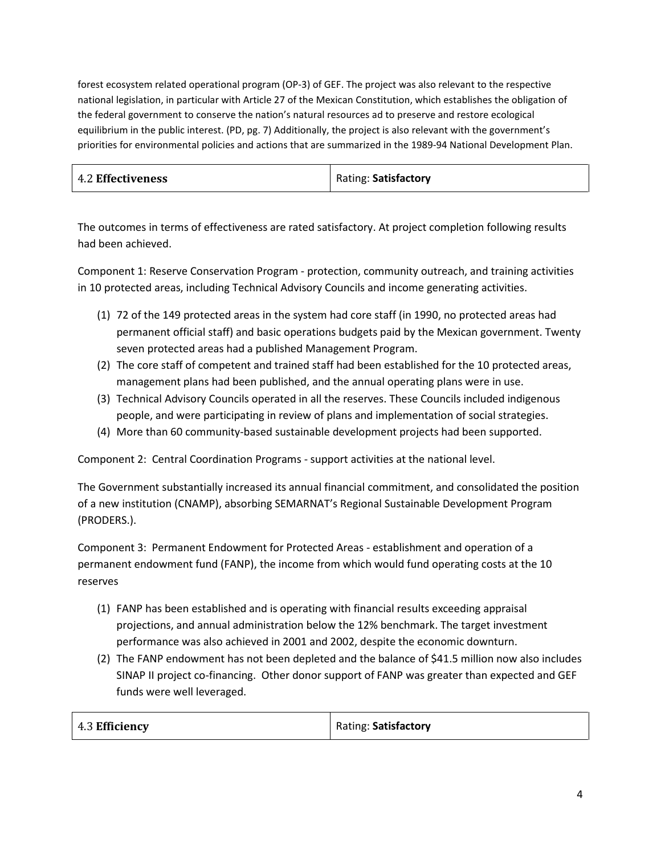forest ecosystem related operational program (OP-3) of GEF. The project was also relevant to the respective national legislation, in particular with Article 27 of the Mexican Constitution, which establishes the obligation of the federal government to conserve the nation's natural resources ad to preserve and restore ecological equilibrium in the public interest. (PD, pg. 7) Additionally, the project is also relevant with the government's priorities for environmental policies and actions that are summarized in the 1989-94 National Development Plan.

| <b>4.2 Effectiveness</b> | Rating: Satisfactory |
|--------------------------|----------------------|
|--------------------------|----------------------|

The outcomes in terms of effectiveness are rated satisfactory. At project completion following results had been achieved.

Component 1: Reserve Conservation Program - protection, community outreach, and training activities in 10 protected areas, including Technical Advisory Councils and income generating activities.

- (1) 72 of the 149 protected areas in the system had core staff (in 1990, no protected areas had permanent official staff) and basic operations budgets paid by the Mexican government. Twenty seven protected areas had a published Management Program.
- (2) The core staff of competent and trained staff had been established for the 10 protected areas, management plans had been published, and the annual operating plans were in use.
- (3) Technical Advisory Councils operated in all the reserves. These Councils included indigenous people, and were participating in review of plans and implementation of social strategies.
- (4) More than 60 community-based sustainable development projects had been supported.

Component 2: Central Coordination Programs - support activities at the national level.

The Government substantially increased its annual financial commitment, and consolidated the position of a new institution (CNAMP), absorbing SEMARNAT's Regional Sustainable Development Program (PRODERS.).

Component 3: Permanent Endowment for Protected Areas - establishment and operation of a permanent endowment fund (FANP), the income from which would fund operating costs at the 10 reserves

- (1) FANP has been established and is operating with financial results exceeding appraisal projections, and annual administration below the 12% benchmark. The target investment performance was also achieved in 2001 and 2002, despite the economic downturn.
- (2) The FANP endowment has not been depleted and the balance of \$41.5 million now also includes SINAP II project co-financing. Other donor support of FANP was greater than expected and GEF funds were well leveraged.

4.3 **Efficiency** Rating: **Satisfactory**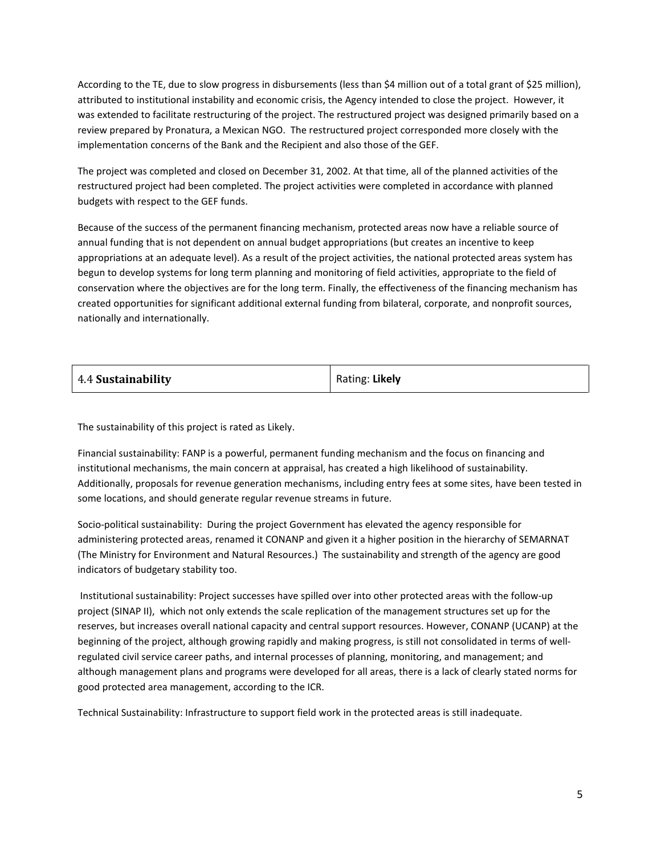According to the TE, due to slow progress in disbursements (less than \$4 million out of a total grant of \$25 million), attributed to institutional instability and economic crisis, the Agency intended to close the project. However, it was extended to facilitate restructuring of the project. The restructured project was designed primarily based on a review prepared by Pronatura, a Mexican NGO. The restructured project corresponded more closely with the implementation concerns of the Bank and the Recipient and also those of the GEF.

The project was completed and closed on December 31, 2002. At that time, all of the planned activities of the restructured project had been completed. The project activities were completed in accordance with planned budgets with respect to the GEF funds.

Because of the success of the permanent financing mechanism, protected areas now have a reliable source of annual funding that is not dependent on annual budget appropriations (but creates an incentive to keep appropriations at an adequate level). As a result of the project activities, the national protected areas system has begun to develop systems for long term planning and monitoring of field activities, appropriate to the field of conservation where the objectives are for the long term. Finally, the effectiveness of the financing mechanism has created opportunities for significant additional external funding from bilateral, corporate, and nonprofit sources, nationally and internationally.

| 4.4 Sustainability | Rating: Likely |
|--------------------|----------------|
|                    |                |

The sustainability of this project is rated as Likely.

Financial sustainability: FANP is a powerful, permanent funding mechanism and the focus on financing and institutional mechanisms, the main concern at appraisal, has created a high likelihood of sustainability. Additionally, proposals for revenue generation mechanisms, including entry fees at some sites, have been tested in some locations, and should generate regular revenue streams in future.

Socio-political sustainability: During the project Government has elevated the agency responsible for administering protected areas, renamed it CONANP and given it a higher position in the hierarchy of SEMARNAT (The Ministry for Environment and Natural Resources.) The sustainability and strength of the agency are good indicators of budgetary stability too.

Institutional sustainability: Project successes have spilled over into other protected areas with the follow-up project (SINAP II), which not only extends the scale replication of the management structures set up for the reserves, but increases overall national capacity and central support resources. However, CONANP (UCANP) at the beginning of the project, although growing rapidly and making progress, is still not consolidated in terms of wellregulated civil service career paths, and internal processes of planning, monitoring, and management; and although management plans and programs were developed for all areas, there is a lack of clearly stated norms for good protected area management, according to the ICR.

Technical Sustainability: Infrastructure to support field work in the protected areas is still inadequate.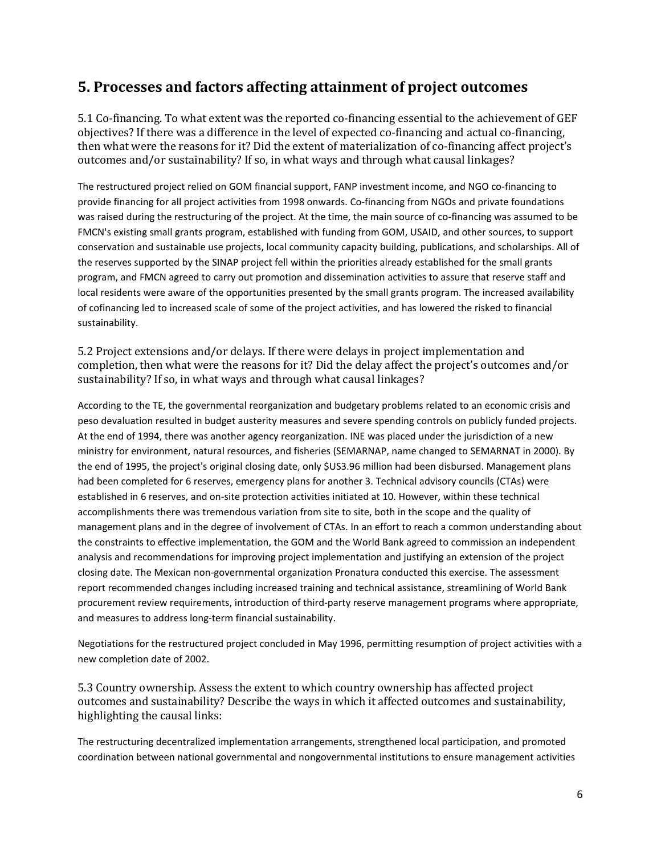## **5. Processes and factors affecting attainment of project outcomes**

5.1 Co-financing. To what extent was the reported co-financing essential to the achievement of GEF objectives? If there was a difference in the level of expected co-financing and actual co-financing, then what were the reasons for it? Did the extent of materialization of co-financing affect project's outcomes and/or sustainability? If so, in what ways and through what causal linkages?

The restructured project relied on GOM financial support, FANP investment income, and NGO co-financing to provide financing for all project activities from 1998 onwards. Co-financing from NGOs and private foundations was raised during the restructuring of the project. At the time, the main source of co-financing was assumed to be FMCN's existing small grants program, established with funding from GOM, USAID, and other sources, to support conservation and sustainable use projects, local community capacity building, publications, and scholarships. All of the reserves supported by the SINAP project fell within the priorities already established for the small grants program, and FMCN agreed to carry out promotion and dissemination activities to assure that reserve staff and local residents were aware of the opportunities presented by the small grants program. The increased availability of cofinancing led to increased scale of some of the project activities, and has lowered the risked to financial sustainability.

5.2 Project extensions and/or delays. If there were delays in project implementation and completion, then what were the reasons for it? Did the delay affect the project's outcomes and/or sustainability? If so, in what ways and through what causal linkages?

According to the TE, the governmental reorganization and budgetary problems related to an economic crisis and peso devaluation resulted in budget austerity measures and severe spending controls on publicly funded projects. At the end of 1994, there was another agency reorganization. INE was placed under the jurisdiction of a new ministry for environment, natural resources, and fisheries (SEMARNAP, name changed to SEMARNAT in 2000). By the end of 1995, the project's original closing date, only \$US3.96 million had been disbursed. Management plans had been completed for 6 reserves, emergency plans for another 3. Technical advisory councils (CTAs) were established in 6 reserves, and on-site protection activities initiated at 10. However, within these technical accomplishments there was tremendous variation from site to site, both in the scope and the quality of management plans and in the degree of involvement of CTAs. In an effort to reach a common understanding about the constraints to effective implementation, the GOM and the World Bank agreed to commission an independent analysis and recommendations for improving project implementation and justifying an extension of the project closing date. The Mexican non-governmental organization Pronatura conducted this exercise. The assessment report recommended changes including increased training and technical assistance, streamlining of World Bank procurement review requirements, introduction of third-party reserve management programs where appropriate, and measures to address long-term financial sustainability.

Negotiations for the restructured project concluded in May 1996, permitting resumption of project activities with a new completion date of 2002.

5.3 Country ownership. Assess the extent to which country ownership has affected project outcomes and sustainability? Describe the ways in which it affected outcomes and sustainability, highlighting the causal links:

The restructuring decentralized implementation arrangements, strengthened local participation, and promoted coordination between national governmental and nongovernmental institutions to ensure management activities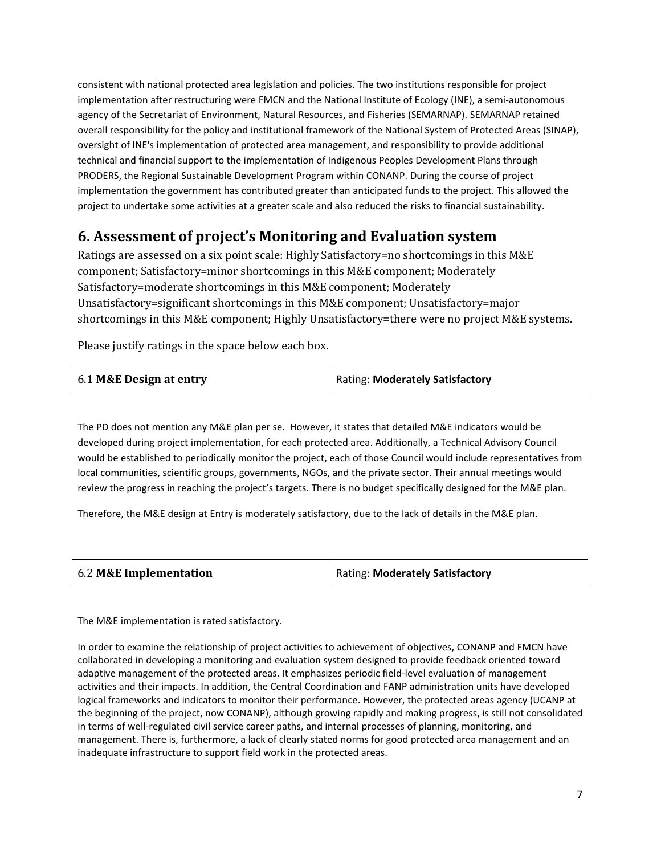consistent with national protected area legislation and policies. The two institutions responsible for project implementation after restructuring were FMCN and the National Institute of Ecology (INE), a semi-autonomous agency of the Secretariat of Environment, Natural Resources, and Fisheries (SEMARNAP). SEMARNAP retained overall responsibility for the policy and institutional framework of the National System of Protected Areas (SINAP), oversight of INE's implementation of protected area management, and responsibility to provide additional technical and financial support to the implementation of Indigenous Peoples Development Plans through PRODERS, the Regional Sustainable Development Program within CONANP. During the course of project implementation the government has contributed greater than anticipated funds to the project. This allowed the project to undertake some activities at a greater scale and also reduced the risks to financial sustainability.

# **6. Assessment of project's Monitoring and Evaluation system**

Ratings are assessed on a six point scale: Highly Satisfactory=no shortcomings in this M&E component; Satisfactory=minor shortcomings in this M&E component; Moderately Satisfactory=moderate shortcomings in this M&E component; Moderately Unsatisfactory=significant shortcomings in this M&E component; Unsatisfactory=major shortcomings in this M&E component; Highly Unsatisfactory=there were no project M&E systems.

Please justify ratings in the space below each box.

| Rating: Moderately Satisfactory<br>6.1 M&E Design at entry |
|------------------------------------------------------------|
|------------------------------------------------------------|

The PD does not mention any M&E plan per se. However, it states that detailed M&E indicators would be developed during project implementation, for each protected area. Additionally, a Technical Advisory Council would be established to periodically monitor the project, each of those Council would include representatives from local communities, scientific groups, governments, NGOs, and the private sector. Their annual meetings would review the progress in reaching the project's targets. There is no budget specifically designed for the M&E plan.

Therefore, the M&E design at Entry is moderately satisfactory, due to the lack of details in the M&E plan.

| 6.2 M&E Implementation | Rating: Moderately Satisfactory |
|------------------------|---------------------------------|
|                        |                                 |

The M&E implementation is rated satisfactory.

In order to examine the relationship of project activities to achievement of objectives, CONANP and FMCN have collaborated in developing a monitoring and evaluation system designed to provide feedback oriented toward adaptive management of the protected areas. It emphasizes periodic field-level evaluation of management activities and their impacts. In addition, the Central Coordination and FANP administration units have developed logical frameworks and indicators to monitor their performance. However, the protected areas agency (UCANP at the beginning of the project, now CONANP), although growing rapidly and making progress, is still not consolidated in terms of well-regulated civil service career paths, and internal processes of planning, monitoring, and management. There is, furthermore, a lack of clearly stated norms for good protected area management and an inadequate infrastructure to support field work in the protected areas.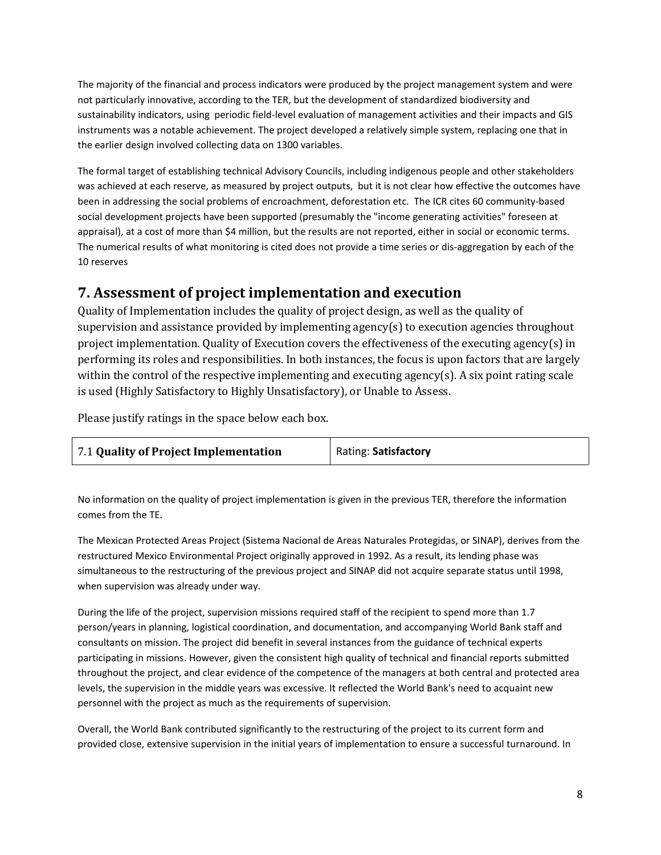The majority of the financial and process indicators were produced by the project management system and were not particularly innovative, according to the TER, but the development of standardized biodiversity and sustainability indicators, using periodic field-level evaluation of management activities and their impacts and GIS instruments was a notable achievement. The project developed a relatively simple system, replacing one that in the earlier design involved collecting data on 1300 variables.

The formal target of establishing technical Advisory Councils, including indigenous people and other stakeholders was achieved at each reserve, as measured by project outputs, but it is not clear how effective the outcomes have been in addressing the social problems of encroachment, deforestation etc. The ICR cites 60 community-based social development projects have been supported (presumably the "income generating activities" foreseen at appraisal), at a cost of more than \$4 million, but the results are not reported, either in social or economic terms. The numerical results of what monitoring is cited does not provide a time series or dis-aggregation by each of the 10 reserves

# **7. Assessment of project implementation and execution**

Quality of Implementation includes the quality of project design, as well as the quality of supervision and assistance provided by implementing agency(s) to execution agencies throughout project implementation. Quality of Execution covers the effectiveness of the executing agency(s) in performing its roles and responsibilities. In both instances, the focus is upon factors that are largely within the control of the respective implementing and executing agency(s). A six point rating scale is used (Highly Satisfactory to Highly Unsatisfactory), or Unable to Assess.

Please justify ratings in the space below each box.

| 7.1 Quality of Project Implementation | <b>Rating: Satisfactory</b> |
|---------------------------------------|-----------------------------|
|                                       |                             |

No information on the quality of project implementation is given in the previous TER, therefore the information comes from the TE.

The Mexican Protected Areas Project (Sistema Nacional de Areas Naturales Protegidas, or SINAP), derives from the restructured Mexico Environmental Project originally approved in 1992. As a result, its lending phase was simultaneous to the restructuring of the previous project and SINAP did not acquire separate status until 1998, when supervision was already under way.

During the life of the project, supervision missions required staff of the recipient to spend more than 1.7 person/years in planning, logistical coordination, and documentation, and accompanying World Bank staff and consultants on mission. The project did benefit in several instances from the guidance of technical experts participating in missions. However, given the consistent high quality of technical and financial reports submitted throughout the project, and clear evidence of the competence of the managers at both central and protected area levels, the supervision in the middle years was excessive. It reflected the World Bank's need to acquaint new personnel with the project as much as the requirements of supervision.

Overall, the World Bank contributed significantly to the restructuring of the project to its current form and provided close, extensive supervision in the initial years of implementation to ensure a successful turnaround. In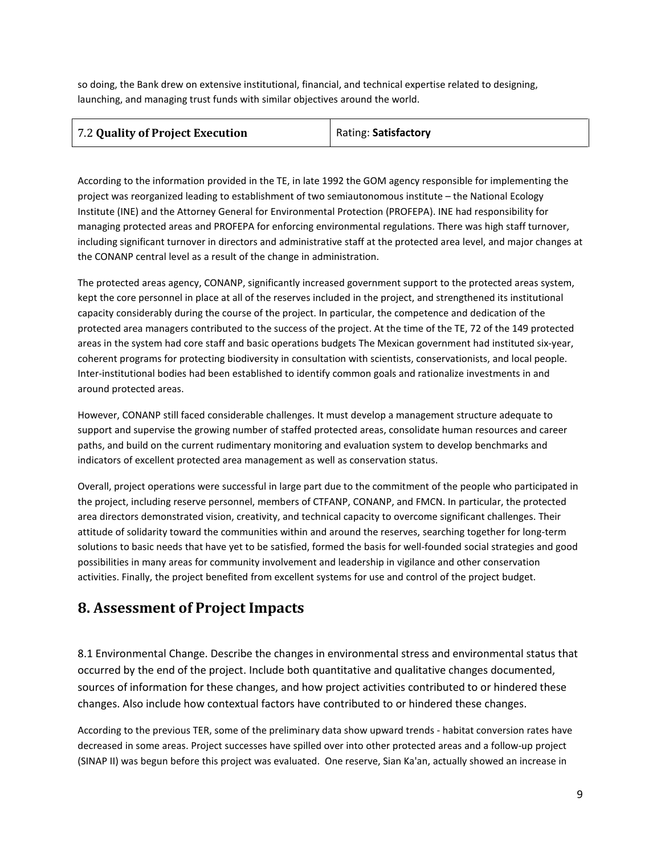so doing, the Bank drew on extensive institutional, financial, and technical expertise related to designing, launching, and managing trust funds with similar objectives around the world.

| 7.2 Quality of Project Execution | Rating: Satisfactory |
|----------------------------------|----------------------|
|                                  |                      |

According to the information provided in the TE, in late 1992 the GOM agency responsible for implementing the project was reorganized leading to establishment of two semiautonomous institute – the National Ecology Institute (INE) and the Attorney General for Environmental Protection (PROFEPA). INE had responsibility for managing protected areas and PROFEPA for enforcing environmental regulations. There was high staff turnover, including significant turnover in directors and administrative staff at the protected area level, and major changes at the CONANP central level as a result of the change in administration.

The protected areas agency, CONANP, significantly increased government support to the protected areas system, kept the core personnel in place at all of the reserves included in the project, and strengthened its institutional capacity considerably during the course of the project. In particular, the competence and dedication of the protected area managers contributed to the success of the project. At the time of the TE, 72 of the 149 protected areas in the system had core staff and basic operations budgets The Mexican government had instituted six-year, coherent programs for protecting biodiversity in consultation with scientists, conservationists, and local people. Inter-institutional bodies had been established to identify common goals and rationalize investments in and around protected areas.

However, CONANP still faced considerable challenges. It must develop a management structure adequate to support and supervise the growing number of staffed protected areas, consolidate human resources and career paths, and build on the current rudimentary monitoring and evaluation system to develop benchmarks and indicators of excellent protected area management as well as conservation status.

Overall, project operations were successful in large part due to the commitment of the people who participated in the project, including reserve personnel, members of CTFANP, CONANP, and FMCN. In particular, the protected area directors demonstrated vision, creativity, and technical capacity to overcome significant challenges. Their attitude of solidarity toward the communities within and around the reserves, searching together for long-term solutions to basic needs that have yet to be satisfied, formed the basis for well-founded social strategies and good possibilities in many areas for community involvement and leadership in vigilance and other conservation activities. Finally, the project benefited from excellent systems for use and control of the project budget.

## **8. Assessment of Project Impacts**

8.1 Environmental Change. Describe the changes in environmental stress and environmental status that occurred by the end of the project. Include both quantitative and qualitative changes documented, sources of information for these changes, and how project activities contributed to or hindered these changes. Also include how contextual factors have contributed to or hindered these changes.

According to the previous TER, some of the preliminary data show upward trends - habitat conversion rates have decreased in some areas. Project successes have spilled over into other protected areas and a follow-up project (SINAP II) was begun before this project was evaluated. One reserve, Sian Ka'an, actually showed an increase in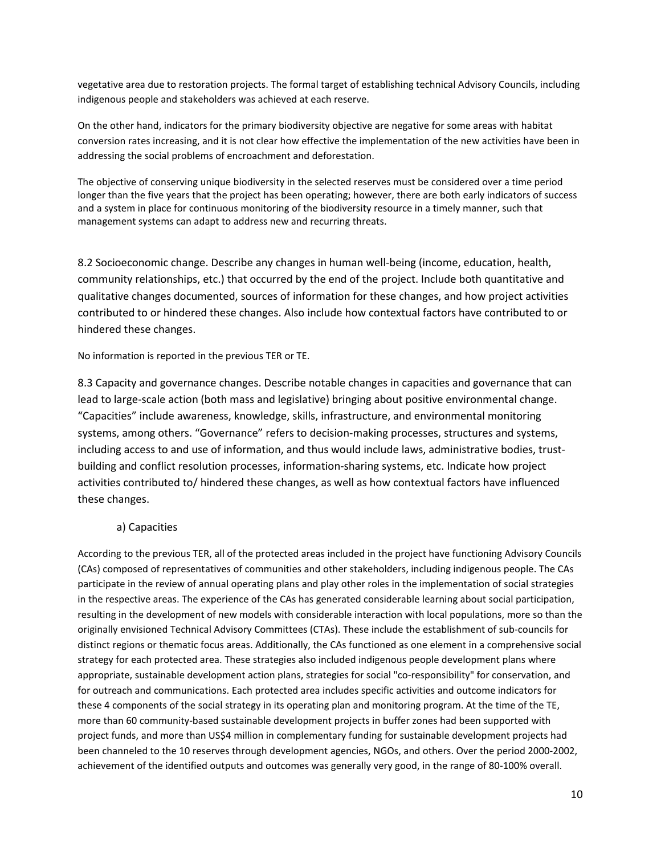vegetative area due to restoration projects. The formal target of establishing technical Advisory Councils, including indigenous people and stakeholders was achieved at each reserve.

On the other hand, indicators for the primary biodiversity objective are negative for some areas with habitat conversion rates increasing, and it is not clear how effective the implementation of the new activities have been in addressing the social problems of encroachment and deforestation.

The objective of conserving unique biodiversity in the selected reserves must be considered over a time period longer than the five years that the project has been operating; however, there are both early indicators of success and a system in place for continuous monitoring of the biodiversity resource in a timely manner, such that management systems can adapt to address new and recurring threats.

8.2 Socioeconomic change. Describe any changes in human well-being (income, education, health, community relationships, etc.) that occurred by the end of the project. Include both quantitative and qualitative changes documented, sources of information for these changes, and how project activities contributed to or hindered these changes. Also include how contextual factors have contributed to or hindered these changes.

No information is reported in the previous TER or TE.

8.3 Capacity and governance changes. Describe notable changes in capacities and governance that can lead to large-scale action (both mass and legislative) bringing about positive environmental change. "Capacities" include awareness, knowledge, skills, infrastructure, and environmental monitoring systems, among others. "Governance" refers to decision-making processes, structures and systems, including access to and use of information, and thus would include laws, administrative bodies, trustbuilding and conflict resolution processes, information-sharing systems, etc. Indicate how project activities contributed to/ hindered these changes, as well as how contextual factors have influenced these changes.

#### a) Capacities

According to the previous TER, all of the protected areas included in the project have functioning Advisory Councils (CAs) composed of representatives of communities and other stakeholders, including indigenous people. The CAs participate in the review of annual operating plans and play other roles in the implementation of social strategies in the respective areas. The experience of the CAs has generated considerable learning about social participation, resulting in the development of new models with considerable interaction with local populations, more so than the originally envisioned Technical Advisory Committees (CTAs). These include the establishment of sub-councils for distinct regions or thematic focus areas. Additionally, the CAs functioned as one element in a comprehensive social strategy for each protected area. These strategies also included indigenous people development plans where appropriate, sustainable development action plans, strategies for social "co-responsibility" for conservation, and for outreach and communications. Each protected area includes specific activities and outcome indicators for these 4 components of the social strategy in its operating plan and monitoring program. At the time of the TE, more than 60 community-based sustainable development projects in buffer zones had been supported with project funds, and more than US\$4 million in complementary funding for sustainable development projects had been channeled to the 10 reserves through development agencies, NGOs, and others. Over the period 2000-2002, achievement of the identified outputs and outcomes was generally very good, in the range of 80-100% overall.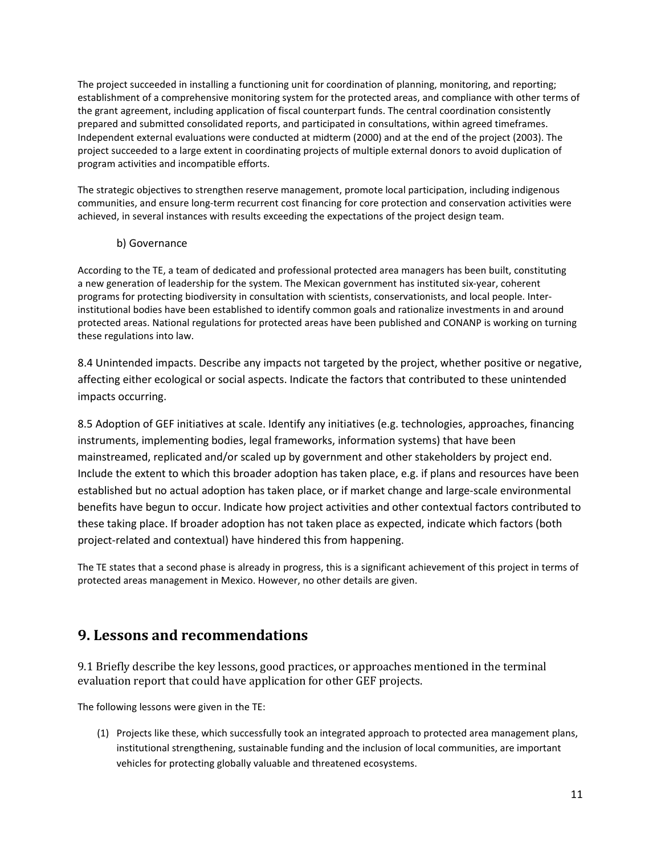The project succeeded in installing a functioning unit for coordination of planning, monitoring, and reporting; establishment of a comprehensive monitoring system for the protected areas, and compliance with other terms of the grant agreement, including application of fiscal counterpart funds. The central coordination consistently prepared and submitted consolidated reports, and participated in consultations, within agreed timeframes. Independent external evaluations were conducted at midterm (2000) and at the end of the project (2003). The project succeeded to a large extent in coordinating projects of multiple external donors to avoid duplication of program activities and incompatible efforts.

The strategic objectives to strengthen reserve management, promote local participation, including indigenous communities, and ensure long-term recurrent cost financing for core protection and conservation activities were achieved, in several instances with results exceeding the expectations of the project design team.

#### b) Governance

According to the TE, a team of dedicated and professional protected area managers has been built, constituting a new generation of leadership for the system. The Mexican government has instituted six-year, coherent programs for protecting biodiversity in consultation with scientists, conservationists, and local people. Interinstitutional bodies have been established to identify common goals and rationalize investments in and around protected areas. National regulations for protected areas have been published and CONANP is working on turning these regulations into law.

8.4 Unintended impacts. Describe any impacts not targeted by the project, whether positive or negative, affecting either ecological or social aspects. Indicate the factors that contributed to these unintended impacts occurring.

8.5 Adoption of GEF initiatives at scale. Identify any initiatives (e.g. technologies, approaches, financing instruments, implementing bodies, legal frameworks, information systems) that have been mainstreamed, replicated and/or scaled up by government and other stakeholders by project end. Include the extent to which this broader adoption has taken place, e.g. if plans and resources have been established but no actual adoption has taken place, or if market change and large-scale environmental benefits have begun to occur. Indicate how project activities and other contextual factors contributed to these taking place. If broader adoption has not taken place as expected, indicate which factors (both project-related and contextual) have hindered this from happening.

The TE states that a second phase is already in progress, this is a significant achievement of this project in terms of protected areas management in Mexico. However, no other details are given.

## **9. Lessons and recommendations**

9.1 Briefly describe the key lessons, good practices, or approaches mentioned in the terminal evaluation report that could have application for other GEF projects.

The following lessons were given in the TE:

(1) Projects like these, which successfully took an integrated approach to protected area management plans, institutional strengthening, sustainable funding and the inclusion of local communities, are important vehicles for protecting globally valuable and threatened ecosystems.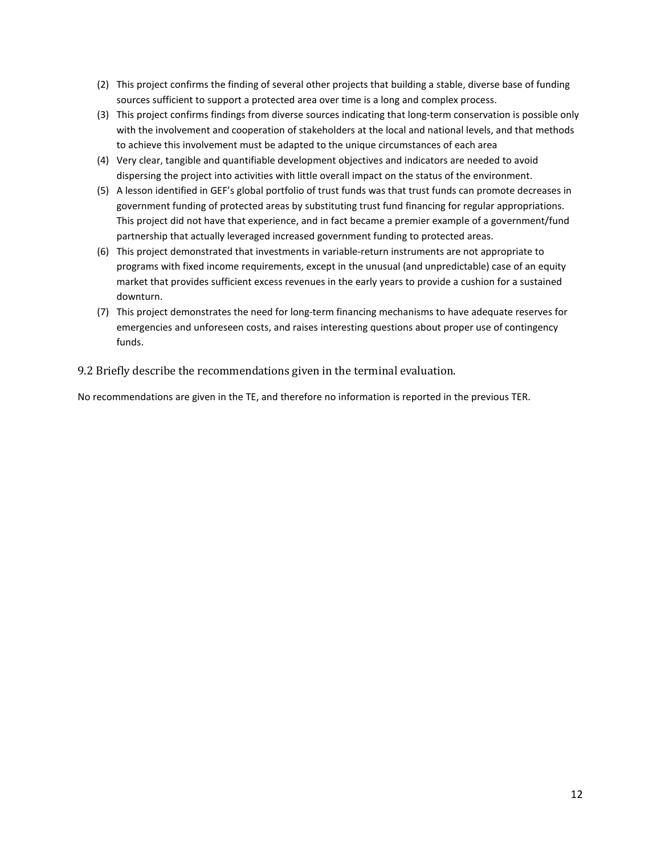- (2) This project confirms the finding of several other projects that building a stable, diverse base of funding sources sufficient to support a protected area over time is a long and complex process.
- (3) This project confirms findings from diverse sources indicating that long-term conservation is possible only with the involvement and cooperation of stakeholders at the local and national levels, and that methods to achieve this involvement must be adapted to the unique circumstances of each area
- (4) Very clear, tangible and quantifiable development objectives and indicators are needed to avoid dispersing the project into activities with little overall impact on the status of the environment.
- (5) A lesson identified in GEF's global portfolio of trust funds was that trust funds can promote decreases in government funding of protected areas by substituting trust fund financing for regular appropriations. This project did not have that experience, and in fact became a premier example of a government/fund partnership that actually leveraged increased government funding to protected areas.
- (6) This project demonstrated that investments in variable-return instruments are not appropriate to programs with fixed income requirements, except in the unusual (and unpredictable) case of an equity market that provides sufficient excess revenues in the early years to provide a cushion for a sustained downturn.
- (7) This project demonstrates the need for long-term financing mechanisms to have adequate reserves for emergencies and unforeseen costs, and raises interesting questions about proper use of contingency funds.

9.2 Briefly describe the recommendations given in the terminal evaluation.

No recommendations are given in the TE, and therefore no information is reported in the previous TER.